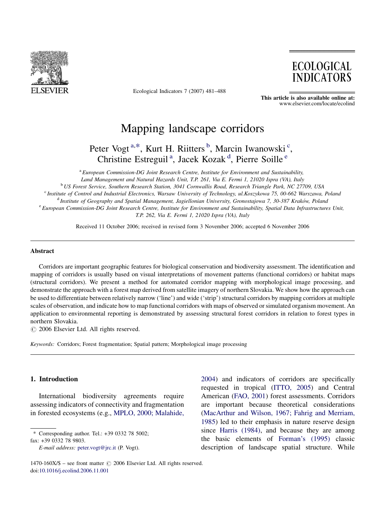

Ecological Indicators 7 (2007) 481–488



This article is also available online at: www.elsevier.com/locate/ecolind

# Mapping landscape corridors

# Peter Vogt<sup>a,\*</sup>, Kurt H. Riitters<sup>b</sup>, Marcin Iwanowski<sup>c</sup>, Christine Estreguil<sup>a</sup>, Jacek Kozak<sup>d</sup>, Pierre Soille<sup>e</sup>

<sup>a</sup> European Commission-DG Joint Research Centre, Institute for Environment and Sustainability, Land Management and Natural Hazards Unit, T.P. 261, Via E. Fermi 1, 21020 Ispra (VA), Italy <sup>b</sup> US Forest Service, Southern Research Station, 3041 Cornwallis Road, Research Triangle Park, NC 27709, USA <sup>c</sup> Institute of Control and Industrial Electronics, Warsaw University of Technology, ul.Koszykowa 75, 00-662 Warszawa, Poland <sup>d</sup> Institute of Geography and Spatial Management, Jagiellonian University, Gronostajowa 7, 30-387 Kraków, Poland <sup>e</sup> European Commission-DG Joint Research Centre, Institute for Environment and Sustainability, Spatial Data Infrastructures Unit, T.P. 262, Via E. Fermi 1, 21020 Ispra (VA), Italy

Received 11 October 2006; received in revised form 3 November 2006; accepted 6 November 2006

#### Abstract

Corridors are important geographic features for biological conservation and biodiversity assessment. The identification and mapping of corridors is usually based on visual interpretations of movement patterns (functional corridors) or habitat maps (structural corridors). We present a method for automated corridor mapping with morphological image processing, and demonstrate the approach with a forest map derived from satellite imagery of northern Slovakia. We show how the approach can be used to differentiate between relatively narrow ('line') and wide ('strip') structural corridors by mapping corridors at multiple scales of observation, and indicate how to map functional corridors with maps of observed or simulated organism movement. An application to environmental reporting is demonstrated by assessing structural forest corridors in relation to forest types in northern Slovakia.

 $\circ$  2006 Elsevier Ltd. All rights reserved.

Keywords: Corridors; Forest fragmentation; Spatial pattern; Morphological image processing

## 1. Introduction

International biodiversity agreements require assessing indicators of connectivity and fragmentation in forested ecosystems (e.g., [MPLO, 2000; Malahide,](#page-7-0)

\* Corresponding author. Tel.: +39 0332 78 5002; fax: +39 0332 78 9803.

[2004\)](#page-7-0) and indicators of corridors are specifically requested in tropical [\(ITTO, 2005](#page-7-0)) and Central American ([FAO, 2001](#page-7-0)) forest assessments. Corridors are important because theoretical considerations ([MacArthur and Wilson, 1967; Fahrig and Merriam,](#page-7-0) [1985\)](#page-7-0) led to their emphasis in nature reserve design since [Harris \(1984\),](#page-7-0) and because they are among the basic elements of [Forman's \(1995\)](#page-7-0) classic description of landscape spatial structure. While

E-mail address: [peter.vogt@jrc.it](mailto:peter.vogt@jrc.it) (P. Vogt).

<sup>1470-160</sup>X/\$ – see front matter © 2006 Elsevier Ltd. All rights reserved. doi:[10.1016/j.ecolind.2006.11.001](http://dx.doi.org/10.1016/j.ecolind.2006.11.001)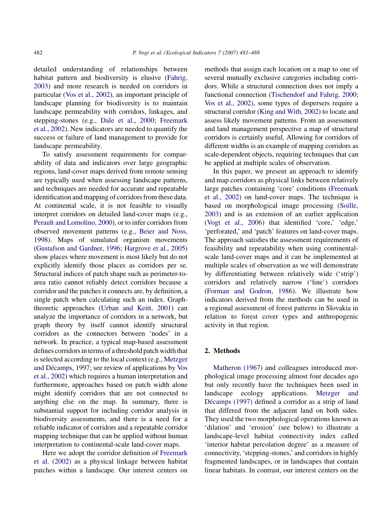detailed understanding of relationships between habitat pattern and biodiversity is elusive [\(Fahrig,](#page-7-0) [2003](#page-7-0)) and more research is needed on corridors in particular ([Vos et al., 2002\)](#page-7-0), an important principle of landscape planning for biodiversity is to maintain landscape permeability with corridors, linkages, and stepping-stones (e.g., [Dale et al., 2000; Freemark](#page-7-0) [et al., 2002\)](#page-7-0). New indicators are needed to quantify the success or failure of land management to provide for landscape permeability.

To satisfy assessment requirements for comparability of data and indicators over large geographic regions, land-cover maps derived from remote sensing are typically used when assessing landscape patterns, and techniques are needed for accurate and repeatable identification and mapping of corridors from these data. At continental scale, it is not feasible to visually interpret corridors on detailed land-cover maps (e.g., [Perault and Lomolino, 2000](#page-7-0)), or to infer corridors from observed movement patterns (e.g., [Beier and Noss,](#page-6-0) [1998](#page-6-0)). Maps of simulated organism movements ([Gustafson and Gardner, 1996; Hargrove et al., 2005](#page-7-0)) show places where movement is most likely but do not explicitly identify those places as corridors per se. Structural indices of patch shape such as perimeter-toarea ratio cannot reliably detect corridors because a corridor and the patches it connects are, by definition, a single patch when calculating such an index. Graphtheoretic approaches [\(Urban and Keitt, 2001\)](#page-7-0) can analyze the importance of corridors in a network, but graph theory by itself cannot identify structural corridors as the connectors between 'nodes' in a network. In practice, a typical map-based assessment defines corridors in terms of a threshold patch width that is selected according to the local context (e.g., [Metzger](#page-7-0) and Décamps, 1997; see review of applications by [Vos](#page-7-0) [et al., 2002\)](#page-7-0) which requires a human interpretation and furthermore, approaches based on patch width alone might identify corridors that are not connected to anything else on the map. In summary, there is substantial support for including corridor analysis in biodiversity assessments, and there is a need for a reliable indicator of corridors and a repeatable corridor mapping technique that can be applied without human interpretation to continental-scale land-cover maps.

Here we adopt the corridor definition of [Freemark](#page-7-0) [et al. \(2002\)](#page-7-0) as a physical linkage between habitat patches within a landscape. Our interest centers on methods that assign each location on a map to one of several mutually exclusive categories including corridors. While a structural connection does not imply a functional connection ([Tischendorf and Fahrig, 2000;](#page-7-0) [Vos et al., 2002](#page-7-0)), some types of dispersers require a structural corridor [\(King and With, 2002\)](#page-7-0) to locate and assess likely movement patterns. From an assessment and land management perspective a map of structural corridors is certainly useful. Allowing for corridors of different widths is an example of mapping corridors as scale-dependent objects, requiring techniques that can be applied at multiple scales of observation.

In this paper, we present an approach to identify and map corridors as physical links between relatively large patches containing 'core' conditions [\(Freemark](#page-7-0) [et al., 2002\)](#page-7-0) on land-cover maps. The technique is based on morphological image processing ([Soille,](#page-7-0) [2003](#page-7-0)) and is an extension of an earlier application ([Vogt et al., 2006\)](#page-7-0) that identified 'core,' 'edge,' 'perforated,' and 'patch' features on land-cover maps. The approach satisfies the assessment requirements of feasibility and repeatability when using continentalscale land-cover maps and it can be implemented at multiple scales of observation as we will demonstrate by differentiating between relatively wide ('strip') corridors and relatively narrow ('line') corridors ([Forman and Godron, 1986](#page-7-0)). We illustrate how indicators derived from the methods can be used in a regional assessment of forest patterns in Slovakia in relation to forest cover types and anthropogenic activity in that region.

# 2. Methods

[Matheron \(1967\)](#page-7-0) and colleagues introduced morphological image processing almost four decades ago but only recently have the techniques been used in landscape ecology applications. [Metzger and](#page-7-0) Décamps (1997) defined a corridor as a strip of land that differed from the adjacent land on both sides. They used the two morphological operations known as 'dilation' and 'erosion' (see below) to illustrate a landscape-level habitat connectivity index called 'interior habitat percolation degree' as a measure of connectivity, 'stepping-stones,' and corridors in highly fragmented landscapes, or in landscapes that contain linear habitats. In contrast, our interest centers on the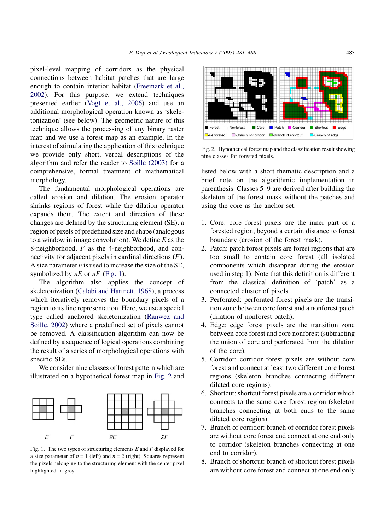pixel-level mapping of corridors as the physical connections between habitat patches that are large enough to contain interior habitat [\(Freemark et al.,](#page-7-0) [2002](#page-7-0)). For this purpose, we extend techniques presented earlier [\(Vogt et al., 2006\)](#page-7-0) and use an additional morphological operation known as 'skeletonization' (see below). The geometric nature of this technique allows the processing of any binary raster map and we use a forest map as an example. In the interest of stimulating the application of this technique we provide only short, verbal descriptions of the algorithm and refer the reader to [Soille \(2003\)](#page-7-0) for a comprehensive, formal treatment of mathematical morphology.

The fundamental morphological operations are called erosion and dilation. The erosion operator shrinks regions of forest while the dilation operator expands them. The extent and direction of these changes are defined by the structuring element (SE), a region of pixels of predefined size and shape (analogous to a window in image convolution). We define  $E$  as the 8-neighborhood,  $F$  as the 4-neighborhood, and connectivity for adjacent pixels in cardinal directions  $(F)$ . A size parameter  $n$  is used to increase the size of the SE, symbolized by  $nE$  or  $nF$  (Fig. 1).

The algorithm also applies the concept of skeletonization [\(Calabi and Hartnett, 1968](#page-7-0)), a process which iteratively removes the boundary pixels of a region to its line representation. Here, we use a special type called anchored skeletonization ([Ranwez and](#page-7-0) [Soille, 2002\)](#page-7-0) where a predefined set of pixels cannot be removed. A classification algorithm can now be defined by a sequence of logical operations combining the result of a series of morphological operations with specific SEs.

We consider nine classes of forest pattern which are illustrated on a hypothetical forest map in Fig. 2 and



Fig. 1. The two types of structuring elements  $E$  and  $F$  displayed for a size parameter of  $n = 1$  (left) and  $n = 2$  (right). Squares represent the pixels belonging to the structuring element with the center pixel highlighted in grey.



Fig. 2. Hypothetical forest map and the classification result showing nine classes for forested pixels.

listed below with a short thematic description and a brief note on the algorithmic implementation in parenthesis. Classes 5–9 are derived after building the skeleton of the forest mask without the patches and using the core as the anchor set.

- 1. Core: core forest pixels are the inner part of a forested region, beyond a certain distance to forest boundary (erosion of the forest mask).
- 2. Patch: patch forest pixels are forest regions that are too small to contain core forest (all isolated components which disappear during the erosion used in step 1). Note that this definition is different from the classical definition of 'patch' as a connected cluster of pixels.
- 3. Perforated: perforated forest pixels are the transition zone between core forest and a nonforest patch (dilation of nonforest patch).
- 4. Edge: edge forest pixels are the transition zone between core forest and core nonforest (subtracting the union of core and perforated from the dilation of the core).
- 5. Corridor: corridor forest pixels are without core forest and connect at least two different core forest regions (skeleton branches connecting different dilated core regions).
- 6. Shortcut: shortcut forest pixels are a corridor which connects to the same core forest region (skeleton branches connecting at both ends to the same dilated core region).
- 7. Branch of corridor: branch of corridor forest pixels are without core forest and connect at one end only to corridor (skeleton branches connecting at one end to corridor).
- 8. Branch of shortcut: branch of shortcut forest pixels are without core forest and connect at one end only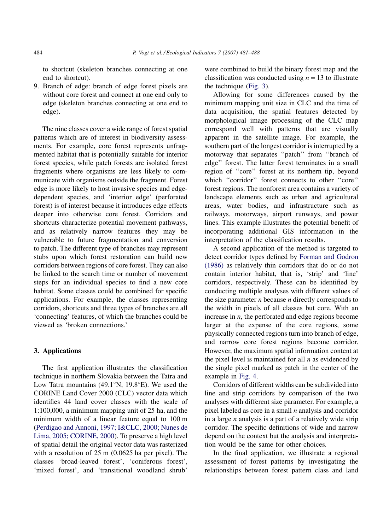to shortcut (skeleton branches connecting at one end to shortcut).

9. Branch of edge: branch of edge forest pixels are without core forest and connect at one end only to edge (skeleton branches connecting at one end to edge).

The nine classes cover a wide range of forest spatial patterns which are of interest in biodiversity assessments. For example, core forest represents unfragmented habitat that is potentially suitable for interior forest species, while patch forests are isolated forest fragments where organisms are less likely to communicate with organisms outside the fragment. Forest edge is more likely to host invasive species and edgedependent species, and 'interior edge' (perforated forest) is of interest because it introduces edge effects deeper into otherwise core forest. Corridors and shortcuts characterize potential movement pathways, and as relatively narrow features they may be vulnerable to future fragmentation and conversion to patch. The different type of branches may represent stubs upon which forest restoration can build new corridors between regions of core forest. They can also be linked to the search time or number of movement steps for an individual species to find a new core habitat. Some classes could be combined for specific applications. For example, the classes representing corridors, shortcuts and three types of branches are all 'connecting' features, of which the branches could be viewed as 'broken connections.'

### 3. Applications

The first application illustrates the classification technique in northern Slovakia between the Tatra and Low Tatra mountains (49.1 $\degree$ N, 19.8 $\degree$ E). We used the CORINE Land Cover 2000 (CLC) vector data which identifies 44 land cover classes with the scale of 1:100,000, a minimum mapping unit of 25 ha, and the minimum width of a linear feature equal to 100 m ([Perdigao and Annoni, 1997; I&CLC, 2000; Nunes de](#page-7-0) [Lima, 2005; CORINE, 2000](#page-7-0)). To preserve a high level of spatial detail the original vector data was rasterized with a resolution of 25 m (0.0625 ha per pixel). The classes 'broad-leaved forest', 'coniferous forest', 'mixed forest', and 'transitional woodland shrub'

were combined to build the binary forest map and the classification was conducted using  $n = 13$  to illustrate the technique ([Fig. 3\)](#page-4-0).

Allowing for some differences caused by the minimum mapping unit size in CLC and the time of data acquisition, the spatial features detected by morphological image processing of the CLC map correspond well with patterns that are visually apparent in the satellite image. For example, the southern part of the longest corridor is interrupted by a motorway that separates ''patch'' from ''branch of edge'' forest. The latter forest terminates in a small region of ''core'' forest at its northern tip, beyond which "corridor" forest connects to other "core" forest regions. The nonforest area contains a variety of landscape elements such as urban and agricultural areas, water bodies, and infrastructure such as railways, motorways, airport runways, and power lines. This example illustrates the potential benefit of incorporating additional GIS information in the interpretation of the classification results.

A second application of the method is targeted to detect corridor types defined by [Forman and Godron](#page-7-0) [\(1986\)](#page-7-0) as relatively thin corridors that do or do not contain interior habitat, that is, 'strip' and 'line' corridors, respectively. These can be identified by conducting multiple analyses with different values of the size parameter  $n$  because  $n$  directly corresponds to the width in pixels of all classes but core. With an increase in  $n$ , the perforated and edge regions become larger at the expense of the core regions, some physically connected regions turn into branch of edge, and narrow core forest regions become corridor. However, the maximum spatial information content at the pixel level is maintained for all  $n$  as evidenced by the single pixel marked as patch in the center of the example in [Fig. 4.](#page-4-0)

Corridors of different widths can be subdivided into line and strip corridors by comparison of the two analyses with different size parameter. For example, a pixel labeled as core in a small  $n$  analysis and corridor in a large  $n$  analysis is a part of a relatively wide strip corridor. The specific definitions of wide and narrow depend on the context but the analysis and interpretation would be the same for other choices.

In the final application, we illustrate a regional assessment of forest patterns by investigating the relationships between forest pattern class and land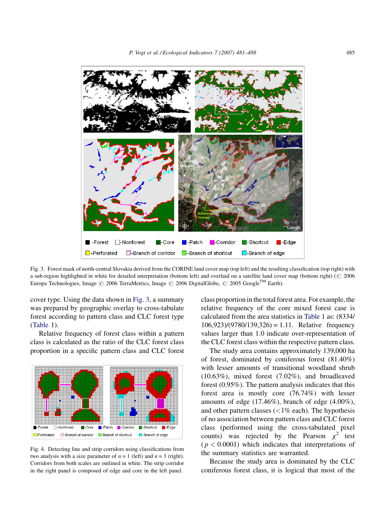<span id="page-4-0"></span>

Fig. 3. Forest mask of north-central Slovakia derived from the CORINE land cover map (top left) and the resulting classification (top right) with a sub-region highlighted in white for detailed interpretation (bottom left) and overlaid on a satellite land cover map (bottom right) ( $\odot$  2006 Europa Technologies, Image  $\odot$  2006 TerraMetrics, Image  $\odot$  2006 DigitalGlobe,  $\odot$  2005 Google<sup>TM</sup> Earth).

cover type. Using the data shown in Fig. 3, a summary was prepared by geographic overlay to cross-tabulate forest according to pattern class and CLC forest type ([Table 1](#page-5-0)).

Relative frequency of forest class within a pattern class is calculated as the ratio of the CLC forest class proportion in a specific pattern class and CLC forest



Fig. 4. Detecting line and strip corridors using classifications from two analysis with a size parameter of  $n = 1$  (left) and  $n = 3$  (right). Corridors from both scales are outlined in white. The strip corridor in the right panel is composed of edge and core in the left panel.

class proportion in the total forest area. For example, the relative frequency of the core mixed forest case is calculated from the area statistics in [Table 1](#page-5-0) as: (8334/  $106,923$  $/(9780/139,326) = 1.11$ . Relative frequency values larger than 1.0 indicate over-representation of the CLC forest class within the respective pattern class.

The study area contains approximately 139,000 ha of forest, dominated by coniferous forest (81.40%) with lesser amounts of transitional woodland shrub (10.63%), mixed forest (7.02%), and broadleaved forest (0.95%). The pattern analysis indicates that this forest area is mostly core (76.74%) with lesser amounts of edge (17.46%), branch of edge (4.00%), and other pattern classes  $\left($ <1% each). The hypothesis of no association between pattern class and CLC forest class (performed using the cross-tabulated pixel counts) was rejected by the Pearson  $\chi^2$  test  $(p < 0.0001)$  which indicates that interpretations of the summary statistics are warranted.

Because the study area is dominated by the CLC coniferous forest class, it is logical that most of the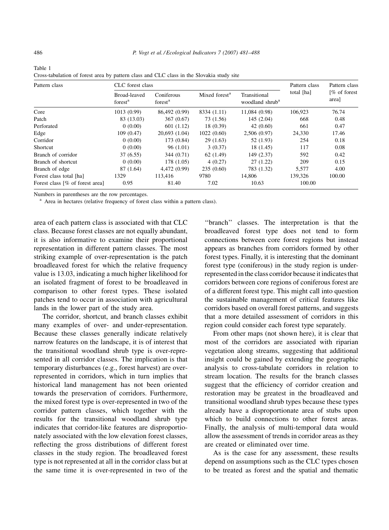| Pattern class                   | CLC forest class                    |                                   |                           |                                             | Pattern class | Pattern class        |
|---------------------------------|-------------------------------------|-----------------------------------|---------------------------|---------------------------------------------|---------------|----------------------|
|                                 | Broad-leaved<br>forest <sup>a</sup> | Coniferous<br>forest <sup>a</sup> | Mixed forest <sup>a</sup> | Transitional<br>woodland shrub <sup>a</sup> | total [ha]    | [% of forest<br>area |
| Core                            | 1013 (0.99)                         | 86,492 (0.99)                     | 8334 (1.11)               | 11,084 (0.98)                               | 106.923       | 76.74                |
| Patch                           | 83 (13.03)                          | 367(0.67)                         | 73 (1.56)                 | 145 (2.04)                                  | 668           | 0.48                 |
| Perforated                      | 0(0.00)                             | 601 (1.12)                        | 18 (0.39)                 | 42(0.60)                                    | 661           | 0.47                 |
| Edge                            | 109 (0.47)                          | 20,693 (1.04)                     | 1022(0.60)                | 2,506 (0.97)                                | 24,330        | 17.46                |
| Corridor                        | 0(0.00)                             | 173 (0.84)                        | 29(1.63)                  | 52 (1.93)                                   | 254           | 0.18                 |
| Shortcut                        | 0(0.00)                             | 96(1.01)                          | 3(0.37)                   | 18 (1.45)                                   | 117           | 0.08                 |
| Branch of corridor              | 37 (6.55)                           | 344 (0.71)                        | 62(1.49)                  | 149 (2.37)                                  | 592           | 0.42                 |
| Branch of shortcut              | 0(0.00)                             | 178 (1.05)                        | 4(0.27)                   | 27(1.22)                                    | 209           | 0.15                 |
| Branch of edge                  | 87 (1.64)                           | 4,472 (0.99)                      | 235(0.60)                 | 783 (1.32)                                  | 5,577         | 4.00                 |
| Forest class total [ha]         | 1329                                | 113.416                           | 9780                      | 14,806                                      | 139,326       | 100.00               |
| Forest class [% of forest area] | 0.95                                | 81.40                             | 7.02                      | 10.63                                       | 100.00        |                      |

Table 1 Cross-tabulation of forest area by pattern class and CLC class in the Slovakia study site

Numbers in parentheses are the row percentages.<br><sup>a</sup> Area in hectares (relative frequency of forest class within a pattern class).

area of each pattern class is associated with that CLC class. Because forest classes are not equally abundant, it is also informative to examine their proportional representation in different pattern classes. The most striking example of over-representation is the patch broadleaved forest for which the relative frequency value is 13.03, indicating a much higher likelihood for an isolated fragment of forest to be broadleaved in comparison to other forest types. These isolated patches tend to occur in association with agricultural lands in the lower part of the study area.

The corridor, shortcut, and branch classes exhibit many examples of over- and under-representation. Because these classes generally indicate relatively narrow features on the landscape, it is of interest that the transitional woodland shrub type is over-represented in all corridor classes. The implication is that temporary disturbances (e.g., forest harvest) are overrepresented in corridors, which in turn implies that historical land management has not been oriented towards the preservation of corridors. Furthermore, the mixed forest type is over-represented in two of the corridor pattern classes, which together with the results for the transitional woodland shrub type indicates that corridor-like features are disproportionately associated with the low elevation forest classes, reflecting the gross distributions of different forest classes in the study region. The broadleaved forest type is not represented at all in the corridor class but at the same time it is over-represented in two of the ''branch'' classes. The interpretation is that the broadleaved forest type does not tend to form connections between core forest regions but instead appears as branches from corridors formed by other forest types. Finally, it is interesting that the dominant forest type (coniferous) in the study region is underrepresented in the class corridor because itindicates that corridors between core regions of coniferous forest are of a different forest type. This might call into question the sustainable management of critical features like corridors based on overall forest patterns, and suggests that a more detailed assessment of corridors in this region could consider each forest type separately.

From other maps (not shown here), it is clear that most of the corridors are associated with riparian vegetation along streams, suggesting that additional insight could be gained by extending the geographic analysis to cross-tabulate corridors in relation to stream location. The results for the branch classes suggest that the efficiency of corridor creation and restoration may be greatest in the broadleaved and transitional woodland shrub types because these types already have a disproportionate area of stubs upon which to build connections to other forest areas. Finally, the analysis of multi-temporal data would allow the assessment of trends in corridor areas as they are created or eliminated over time.

As is the case for any assessment, these results depend on assumptions such as the CLC types chosen to be treated as forest and the spatial and thematic

<span id="page-5-0"></span>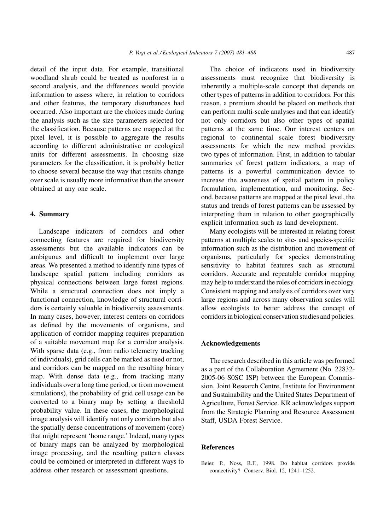<span id="page-6-0"></span>detail of the input data. For example, transitional woodland shrub could be treated as nonforest in a second analysis, and the differences would provide information to assess where, in relation to corridors and other features, the temporary disturbances had occurred. Also important are the choices made during the analysis such as the size parameters selected for the classification. Because patterns are mapped at the pixel level, it is possible to aggregate the results according to different administrative or ecological units for different assessments. In choosing size parameters for the classification, it is probably better to choose several because the way that results change over scale is usually more informative than the answer obtained at any one scale.

### 4. Summary

Landscape indicators of corridors and other connecting features are required for biodiversity assessments but the available indicators can be ambiguous and difficult to implement over large areas. We presented a method to identify nine types of landscape spatial pattern including corridors as physical connections between large forest regions. While a structural connection does not imply a functional connection, knowledge of structural corridors is certainly valuable in biodiversity assessments. In many cases, however, interest centers on corridors as defined by the movements of organisms, and application of corridor mapping requires preparation of a suitable movement map for a corridor analysis. With sparse data (e.g., from radio telemetry tracking of individuals), grid cells can be marked as used or not, and corridors can be mapped on the resulting binary map. With dense data (e.g., from tracking many individuals over a long time period, or from movement simulations), the probability of grid cell usage can be converted to a binary map by setting a threshold probability value. In these cases, the morphological image analysis will identify not only corridors but also the spatially dense concentrations of movement (core) that might represent 'home range.' Indeed, many types of binary maps can be analyzed by morphological image processing, and the resulting pattern classes could be combined or interpreted in different ways to address other research or assessment questions.

The choice of indicators used in biodiversity assessments must recognize that biodiversity is inherently a multiple-scale concept that depends on other types of patterns in addition to corridors. For this reason, a premium should be placed on methods that can perform multi-scale analyses and that can identify not only corridors but also other types of spatial patterns at the same time. Our interest centers on regional to continental scale forest biodiversity assessments for which the new method provides two types of information. First, in addition to tabular summaries of forest pattern indicators, a map of patterns is a powerful communication device to increase the awareness of spatial pattern in policy formulation, implementation, and monitoring. Second, because patterns are mapped at the pixel level, the status and trends of forest patterns can be assessed by interpreting them in relation to other geographically explicit information such as land development.

Many ecologists will be interested in relating forest patterns at multiple scales to site- and species-specific information such as the distribution and movement of organisms, particularly for species demonstrating sensitivity to habitat features such as structural corridors. Accurate and repeatable corridor mapping may help to understand the roles of corridors in ecology. Consistent mapping and analysis of corridors over very large regions and across many observation scales will allow ecologists to better address the concept of corridors in biological conservation studies and policies.

#### Acknowledgements

The research described in this article was performed as a part of the Collaboration Agreement (No. 22832- 2005-06 S0SC ISP) between the European Commission, Joint Research Centre, Institute for Environment and Sustainability and the United States Department of Agriculture, Forest Service. KR acknowledges support from the Strategic Planning and Resource Assessment Staff, USDA Forest Service.

### **References**

Beier, P., Noss, R.F., 1998. Do habitat corridors provide connectivity? Conserv. Biol. 12, 1241–1252.